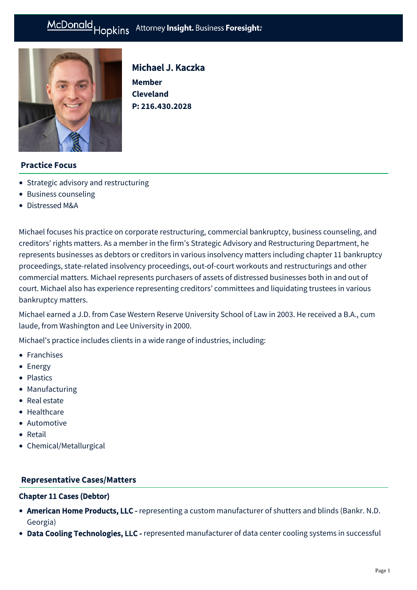# McDonald Hopkins Attorney Insight. Business Foresight:



Michael J. Kaczka

**Member Cleveland P: [216.430.2028](tel:216.430.2028)**

# **Practice Focus**

- [Strategic advisory and restructuring](https://mcdonaldhopkins.com/Expertise/Strategic-advisory-and-restructuring)
- [Business counseling](https://mcdonaldhopkins.com/Expertise/Business-counseling)
- [Distressed M&A](https://mcdonaldhopkins.com/Expertise/Strategic-advisory-and-restructuring/Distressed-M-A)

Michael focuses his practice on corporate restructuring, commercial bankruptcy, business counseling, and creditors' rights matters. As a member in the firm's Strategic Advisory and Restructuring Department, he represents businesses as debtors or creditors in various insolvency matters including chapter 11 bankruptcy proceedings, state-related insolvency proceedings, out-of-court workouts and restructurings and other commercial matters. Michael represents purchasers of assets of distressed businesses both in and out of court. Michael also has experience representing creditors' committees and liquidating trustees in various bankruptcy matters.

Michael earned a J.D. from Case Western Reserve University School of Law in 2003. He received a B.A., cum laude, from Washington and Lee University in 2000.

Michael's practice includes clients in a wide range of industries, including:

- Franchises
- Energy
- Plastics
- Manufacturing
- Real estate
- Healthcare
- Automotive
- **•** Retail
- Chemical/Metallurgical

#### **[Representative Cases/Matters](#page-0-0)**

#### <span id="page-0-0"></span>Chapter 11 Cases (Debtor)

- American Home Products, LLC representing a custom manufacturer of shutters and blinds (Bankr. N.D. Georgia)
- Data Cooling Technologies, LLC represented manufacturer of data center cooling systems in successful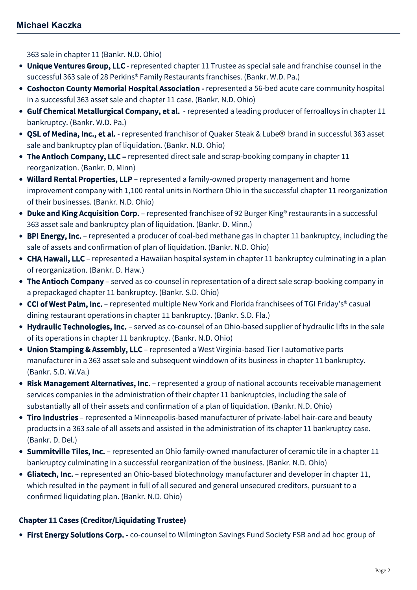363 sale in chapter 11 (Bankr. N.D. Ohio)

- Unique Ventures Group, LLC represented chapter 11 Trustee as special sale and franchise counsel in the successful 363 sale of 28 Perkins® Family Restaurants franchises. (Bankr. W.D. Pa.)
- Coshocton County Memorial Hospital Association represented a 56-bed acute care community hospital in a successful 363 asset sale and chapter 11 case. (Bankr. N.D. Ohio)
- Gulf Chemical Metallurgical Company, et al. represented a leading producer of ferroalloys in chapter 11 bankruptcy. (Bankr. W.D. Pa.)
- QSL of Medina, Inc., et al. represented franchisor of Quaker Steak & Lube® brand in successful 363 asset sale and bankruptcy plan of liquidation. (Bankr. N.D. Ohio)
- The Antioch Company, LLC represented direct sale and scrap-booking company in chapter 11 reorganization. (Bankr. D. Minn)
- Willard Rental Properties, LLP represented a family-owned property management and home improvement company with 1,100 rental units in Northern Ohio in the successful chapter 11 reorganization of their businesses. (Bankr. N.D. Ohio)
- Duke and King Acquisition Corp. represented franchisee of 92 Burger King® restaurants in a successful 363 asset sale and bankruptcy plan of liquidation. (Bankr. D. Minn.)
- BPI Energy, Inc. represented a producer of coal-bed methane gas in chapter 11 bankruptcy, including the sale of assets and confirmation of plan of liquidation. (Bankr. N.D. Ohio)
- CHA Hawaii, LLC represented a Hawaiian hospital system in chapter 11 bankruptcy culminating in a plan of reorganization. (Bankr. D. Haw.)
- The Antioch Company served as co-counsel in representation of a direct sale scrap-booking company in a prepackaged chapter 11 bankruptcy. (Bankr. S.D. Ohio)
- CCI of West Palm, Inc. represented multiple New York and Florida franchisees of TGI Friday's® casual dining restaurant operations in chapter 11 bankruptcy. (Bankr. S.D. Fla.)
- Hydraulic Technologies, Inc. served as co-counsel of an Ohio-based supplier of hydraulic lifts in the sale of its operations in chapter 11 bankruptcy. (Bankr. N.D. Ohio)
- Union Stamping & Assembly, LLC represented a West Virginia-based Tier I automotive parts manufacturer in a 363 asset sale and subsequent winddown of its business in chapter 11 bankruptcy. (Bankr. S.D. W.Va.)
- Risk Management Alternatives, Inc. represented a group of national accounts receivable management services companies in the administration of their chapter 11 bankruptcies, including the sale of substantially all of their assets and confirmation of a plan of liquidation. (Bankr. N.D. Ohio)
- Tiro Industries represented a Minneapolis-based manufacturer of private-label hair-care and beauty products in a 363 sale of all assets and assisted in the administration of its chapter 11 bankruptcy case. (Bankr. D. Del.)
- Summitville Tiles, Inc. represented an Ohio family-owned manufacturer of ceramic tile in a chapter 11 bankruptcy culminating in a successful reorganization of the business. (Bankr. N.D. Ohio)
- Gliatech, Inc. represented an Ohio-based biotechnology manufacturer and developer in chapter 11, which resulted in the payment in full of all secured and general unsecured creditors, pursuant to a confirmed liquidating plan. (Bankr. N.D. Ohio)

# Chapter 11 Cases (Creditor/Liquidating Trustee)

• First Energy Solutions Corp. - co-counsel to Wilmington Savings Fund Society FSB and ad hoc group of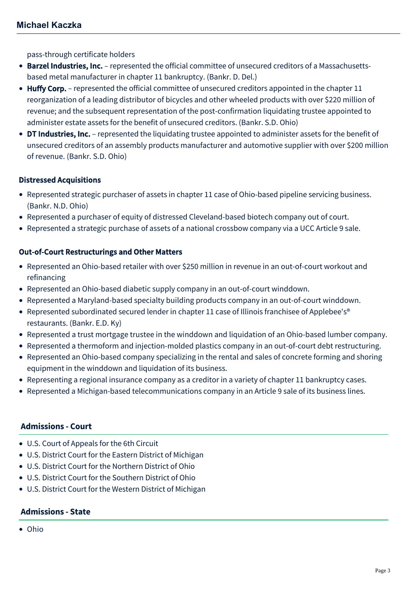pass-through certificate holders

- Barzel Industries, Inc. represented the official committee of unsecured creditors of a Massachusettsbased metal manufacturer in chapter 11 bankruptcy. (Bankr. D. Del.)
- Huffy Corp. represented the official committee of unsecured creditors appointed in the chapter 11 reorganization of a leading distributor of bicycles and other wheeled products with over \$220 million of revenue; and the subsequent representation of the post-confirmation liquidating trustee appointed to administer estate assets for the benefit of unsecured creditors. (Bankr. S.D. Ohio)
- DT Industries, Inc. represented the liquidating trustee appointed to administer assets for the benefit of unsecured creditors of an assembly products manufacturer and automotive supplier with over \$200 million of revenue. (Bankr. S.D. Ohio)

## Distressed Acquisitions

- Represented strategic purchaser of assets in chapter 11 case of Ohio-based pipeline servicing business. (Bankr. N.D. Ohio)
- Represented a purchaser of equity of distressed Cleveland-based biotech company out of court.
- Represented a strategic purchase of assets of a national crossbow company via a UCC Article 9 sale.

## Out-of-Court Restructurings and Other Matters

- Represented an Ohio-based retailer with over \$250 million in revenue in an out-of-court workout and refinancing
- Represented an Ohio-based diabetic supply company in an out-of-court winddown.
- Represented a Maryland-based specialty building products company in an out-of-court winddown.
- Represented subordinated secured lender in chapter 11 case of Illinois franchisee of Applebee's<sup>®</sup> restaurants. (Bankr. E.D. Ky)
- Represented a trust mortgage trustee in the winddown and liquidation of an Ohio-based lumber company.
- Represented a thermoform and injection-molded plastics company in an out-of-court debt restructuring.
- Represented an Ohio-based company specializing in the rental and sales of concrete forming and shoring equipment in the winddown and liquidation of its business.
- Representing a regional insurance company as a creditor in a variety of chapter 11 bankruptcy cases.
- Represented a Michigan-based telecommunications company in an Article 9 sale of its business lines.

#### **Admissions - Court**

- U.S. Court of Appeals for the 6th Circuit
- U.S. District Court for the Eastern District of Michigan
- U.S. District Court for the Northern District of Ohio
- U.S. District Court for the Southern District of Ohio
- U.S. District Court for the Western District of Michigan

#### **Admissions - State**

Ohio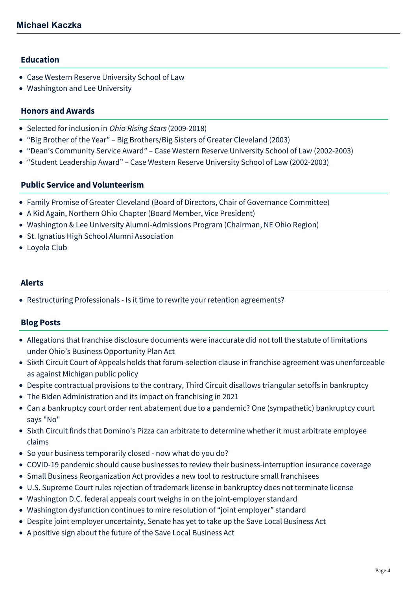## **Education**

- Case Western Reserve University School of Law
- Washington and Lee University

#### **Honors and Awards**

- Selected for inclusion in *Ohio Rising Stars* (2009-2018)
- "Big Brother of the Year" Big Brothers/Big Sisters of Greater Cleveland (2003)
- "Dean's Community Service Award" Case Western Reserve University School of Law (2002-2003)
- "Student Leadership Award" Case Western Reserve University School of Law (2002-2003)

#### **Public Service and Volunteerism**

- Family Promise of Greater Cleveland (Board of Directors, Chair of Governance Committee)
- A Kid Again, Northern Ohio Chapter (Board Member, Vice President)
- Washington & Lee University Alumni-Admissions Program (Chairman, NE Ohio Region)
- St. Ignatius High School Alumni Association
- Loyola Club

#### **Alerts**

[Restructuring Professionals - Is it time to rewrite your retention agreements?](https://mcdonaldhopkins.com/Insights/July-2016/Restructuring-Professionals-Is-it-time-to-rewrite)

#### **Blog Posts**

- [Allegations that franchise disclosure documents were inaccurate did not toll the statute of limitations](https://mcdonaldhopkins.com/Insights/March-2022/Statute-limitations-OH-Business-Opportunity-Plan) under Ohio's Business Opportunity Plan Act
- [Sixth Circuit Court of Appeals holds that forum-selection clause in franchise agreement was unenforceable](https://mcdonaldhopkins.com/Insights/December-2021/Sixth-Circuit-Court-of-Appeals-holds-that-forum-se) as against Michigan public policy
- [Despite contractual provisions to the contrary, Third Circuit disallows triangular setoffs in bankruptcy](https://mcdonaldhopkins.com/Insights/April-2021/Despite-contractual-provisions-to-the-contrary-Th)
- [The Biden Administration and its impact on franchising in 2021](https://mcdonaldhopkins.com/Insights/February-2021/The-Biden-Administration-and-its-impact-on-franchi)
- [Can a bankruptcy court order rent abatement due to a pandemic? One \(sympathetic\) bankruptcy court](https://mcdonaldhopkins.com/Insights/December-2020/Can-a-Bankruptcy-Court-Order-Rent-Abatement-Due-a) says "No"
- [Sixth Circuit finds that Domino's Pizza can arbitrate to determine whether it must arbitrate employee](https://mcdonaldhopkins.com/Insights/June-2020-(1)/Sixth-Circuit-finds-that-Dominos-Pizza-can-arbitra) claims
- [So your business temporarily closed now what do you do?](https://mcdonaldhopkins.com/Insights/March-2020/So-your-business-temporarily-closed-now-what-do-yo)
- [COVID-19 pandemic should cause businesses to review their business-interruption insurance coverage](https://mcdonaldhopkins.com/Insights/March-2020/pandemic-should-cause-businesses-to-review-their-b)
- [Small Business Reorganization Act provides a new tool to restructure small franchisees](https://mcdonaldhopkins.com/Insights/September-2019/Small-Business-Reorganization-Act-provides-a-new-t)
- [U.S. Supreme Court rules rejection of trademark license in bankruptcy does not terminate license](https://mcdonaldhopkins.com/Insights/May-2019/Rejection-of-trademark-license-in-bankruptcy-does)
- [Washington D.C. federal appeals court weighs in on the joint-employer standard](https://mcdonaldhopkins.com/Insights/January-2019/Washington-DC-federal-appeals-court-weighs-in-on-t)
- [Washington dysfunction continues to mire resolution of "joint employer" standard](https://mcdonaldhopkins.com/Insights/September-2018/Washington-dysfunction-continues-to-mire-resolutio)
- [Despite joint employer uncertainty, Senate has yet to take up the Save Local Business Act](https://mcdonaldhopkins.com/Insights/May-2018/Despite-joint-employer-uncertainty)
- [A positive sign about the future of the Save Local Business Act](https://mcdonaldhopkins.com/Insights/February-2018/A-positive-sign-about-the-future-of-the-Save-Local)